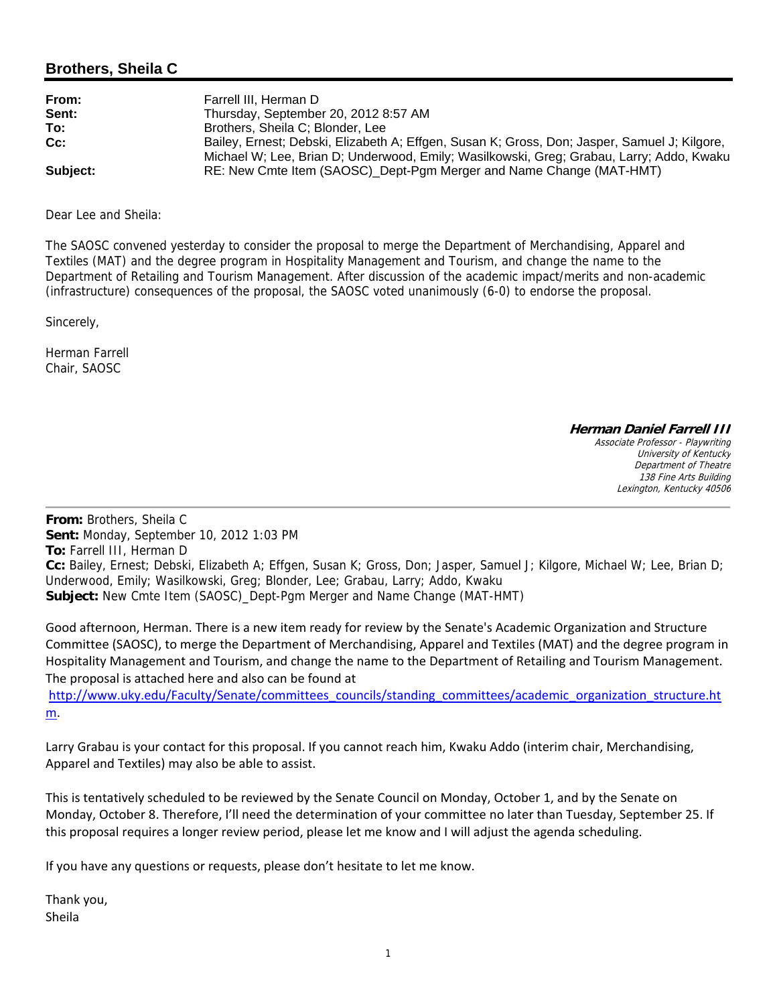## **Brothers, Sheila C**

| From:    | Farrell III. Herman D                                                                        |
|----------|----------------------------------------------------------------------------------------------|
| Sent:    | Thursday, September 20, 2012 8:57 AM                                                         |
| To:      | Brothers, Sheila C: Blonder, Lee                                                             |
| $Cc$ :   | Bailey, Ernest; Debski, Elizabeth A; Effgen, Susan K; Gross, Don; Jasper, Samuel J; Kilgore, |
|          | Michael W; Lee, Brian D; Underwood, Emily; Wasilkowski, Greg; Grabau, Larry; Addo, Kwaku     |
| Subject: | RE: New Cmte Item (SAOSC)_Dept-Pgm Merger and Name Change (MAT-HMT)                          |

Dear Lee and Sheila:

The SAOSC convened yesterday to consider the proposal to merge the Department of Merchandising, Apparel and Textiles (MAT) and the degree program in Hospitality Management and Tourism, and change the name to the Department of Retailing and Tourism Management. After discussion of the academic impact/merits and non-academic (infrastructure) consequences of the proposal, the SAOSC voted unanimously (6-0) to endorse the proposal.

Sincerely,

Herman Farrell Chair, SAOSC

**Herman Daniel Farrell III**

Associate Professor - Playwriting University of Kentucky Department of Theatre 138 Fine Arts Building Lexington, Kentucky 40506

**From:** Brothers, Sheila C **Sent:** Monday, September 10, 2012 1:03 PM **To:** Farrell III, Herman D **Cc:** Bailey, Ernest; Debski, Elizabeth A; Effgen, Susan K; Gross, Don; Jasper, Samuel J; Kilgore, Michael W; Lee, Brian D; Underwood, Emily; Wasilkowski, Greg; Blonder, Lee; Grabau, Larry; Addo, Kwaku **Subject:** New Cmte Item (SAOSC)\_Dept-Pgm Merger and Name Change (MAT-HMT)

Good afternoon, Herman. There is a new item ready for review by the Senate's Academic Organization and Structure Committee (SAOSC), to merge the Department of Merchandising, Apparel and Textiles (MAT) and the degree program in Hospitality Management and Tourism, and change the name to the Department of Retailing and Tourism Management. The proposal is attached here and also can be found at

http://www.uky.edu/Faculty/Senate/committees\_councils/standing\_committees/academic\_organization\_structure.ht m.

Larry Grabau is your contact for this proposal. If you cannot reach him, Kwaku Addo (interim chair, Merchandising, Apparel and Textiles) may also be able to assist.

This is tentatively scheduled to be reviewed by the Senate Council on Monday, October 1, and by the Senate on Monday, October 8. Therefore, I'll need the determination of your committee no later than Tuesday, September 25. If this proposal requires a longer review period, please let me know and I will adjust the agenda scheduling.

If you have any questions or requests, please don't hesitate to let me know.

Thank you, Sheila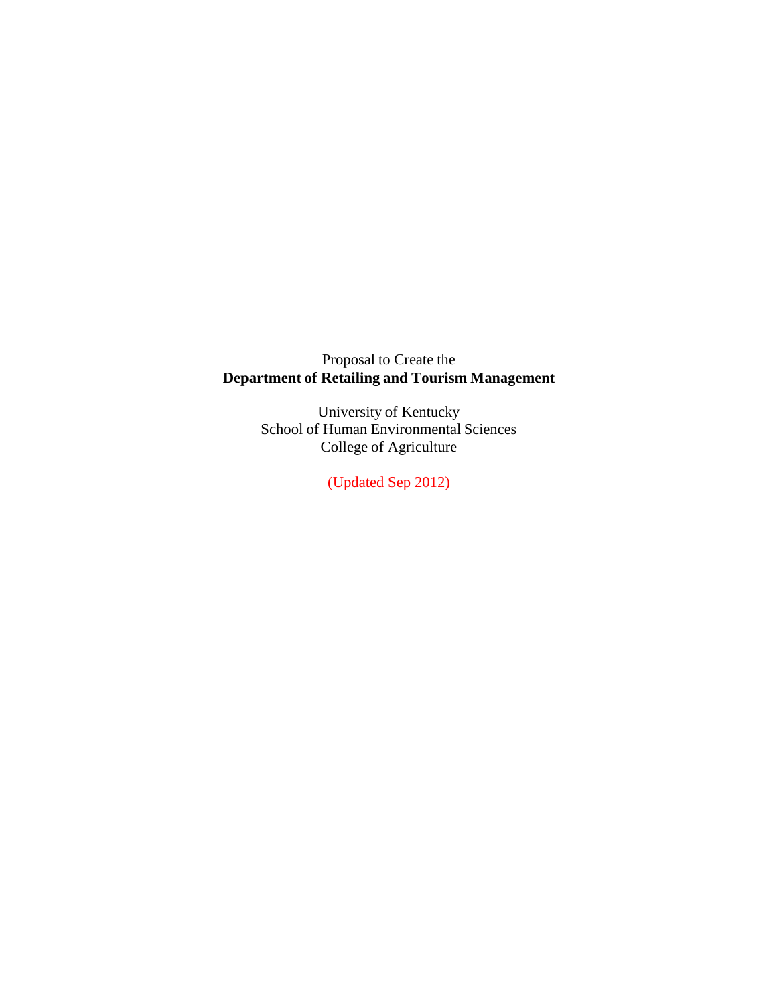Proposal to Create the **Department of Retailing and Tourism Management**

> University of Kentucky School of Human Environmental Sciences College of Agriculture

> > (Updated Sep 2012)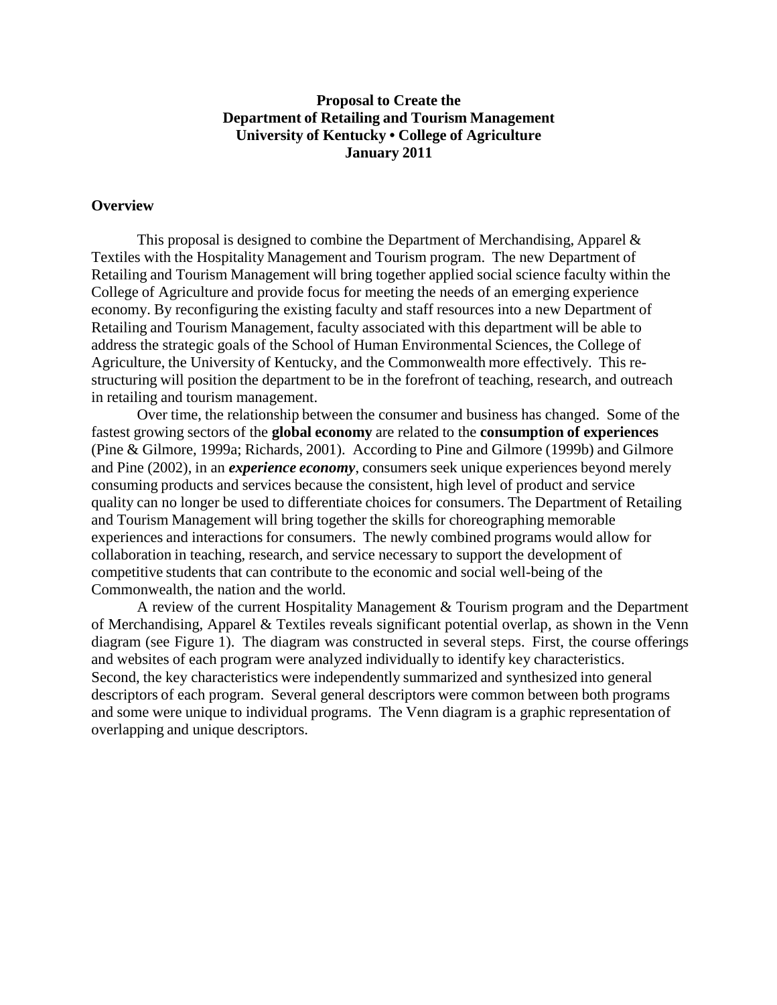#### **Proposal to Create the Department of Retailing and Tourism Management University of Kentucky • College of Agriculture January 2011**

#### **Overview**

This proposal is designed to combine the Department of Merchandising, Apparel  $\&$ Textiles with the Hospitality Management and Tourism program. The new Department of Retailing and Tourism Management will bring together applied social science faculty within the College of Agriculture and provide focus for meeting the needs of an emerging experience economy. By reconfiguring the existing faculty and staff resources into a new Department of Retailing and Tourism Management, faculty associated with this department will be able to address the strategic goals of the School of Human Environmental Sciences, the College of Agriculture, the University of Kentucky, and the Commonwealth more effectively. This restructuring will position the department to be in the forefront of teaching, research, and outreach in retailing and tourism management.

Over time, the relationship between the consumer and business has changed. Some of the fastest growing sectors of the **global economy** are related to the **consumption of experiences**  (Pine & Gilmore, 1999a; Richards, 2001). According to Pine and Gilmore (1999b) and Gilmore and Pine (2002), in an *experience economy*, consumers seek unique experiences beyond merely consuming products and services because the consistent, high level of product and service quality can no longer be used to differentiate choices for consumers. The Department of Retailing and Tourism Management will bring together the skills for choreographing memorable experiences and interactions for consumers. The newly combined programs would allow for collaboration in teaching, research, and service necessary to support the development of competitive students that can contribute to the economic and social well-being of the Commonwealth, the nation and the world.

A review of the current Hospitality Management & Tourism program and the Department of Merchandising, Apparel & Textiles reveals significant potential overlap, as shown in the Venn diagram (see Figure 1). The diagram was constructed in several steps. First, the course offerings and websites of each program were analyzed individually to identify key characteristics. Second, the key characteristics were independently summarized and synthesized into general descriptors of each program. Several general descriptors were common between both programs and some were unique to individual programs. The Venn diagram is a graphic representation of overlapping and unique descriptors.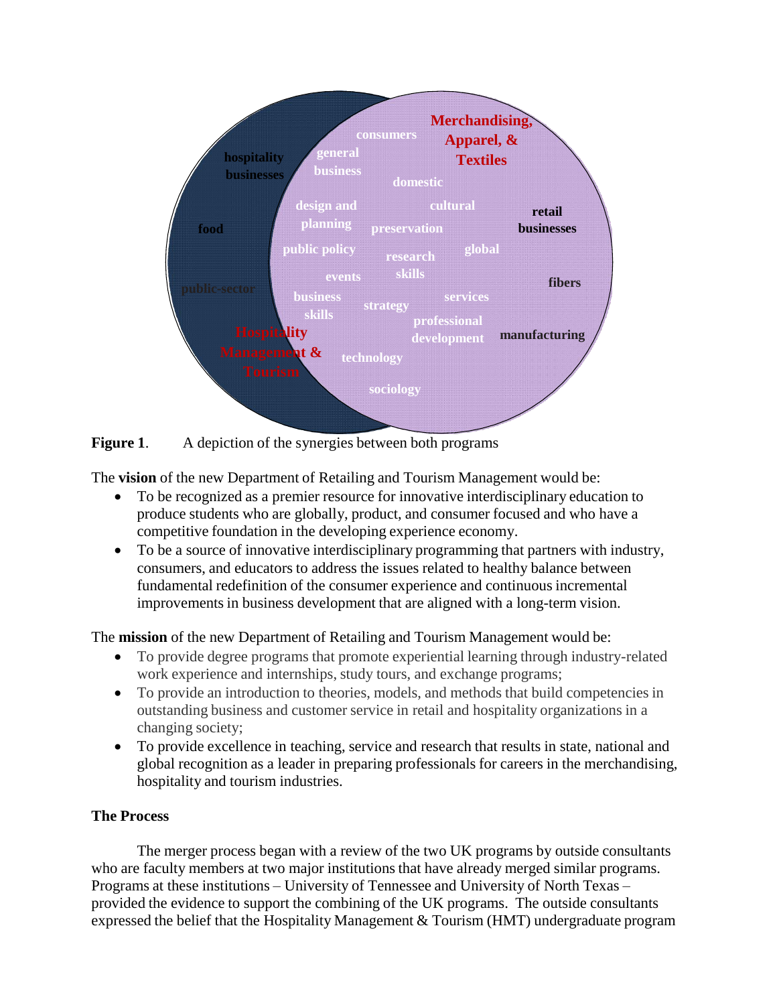



The **vision** of the new Department of Retailing and Tourism Management would be:

- To be recognized as a premier resource for innovative interdisciplinary education to produce students who are globally, product, and consumer focused and who have a competitive foundation in the developing experience economy.
- To be a source of innovative interdisciplinary programming that partners with industry, consumers, and educators to address the issues related to healthy balance between fundamental redefinition of the consumer experience and continuous incremental improvementsin business development that are aligned with a long-term vision.

The **mission** of the new Department of Retailing and Tourism Management would be:

- To provide degree programs that promote experiential learning through industry-related work experience and internships, study tours, and exchange programs;
- To provide an introduction to theories, models, and methods that build competencies in outstanding business and customer service in retail and hospitality organizations in a changing society;
- To provide excellence in teaching, service and research that results in state, national and global recognition as a leader in preparing professionals for careers in the merchandising, hospitality and tourism industries.

# **The Process**

The merger process began with a review of the two UK programs by outside consultants who are faculty members at two major institutions that have already merged similar programs. Programs at these institutions – University of Tennessee and University of North Texas – provided the evidence to support the combining of the UK programs. The outside consultants expressed the belief that the Hospitality Management & Tourism (HMT) undergraduate program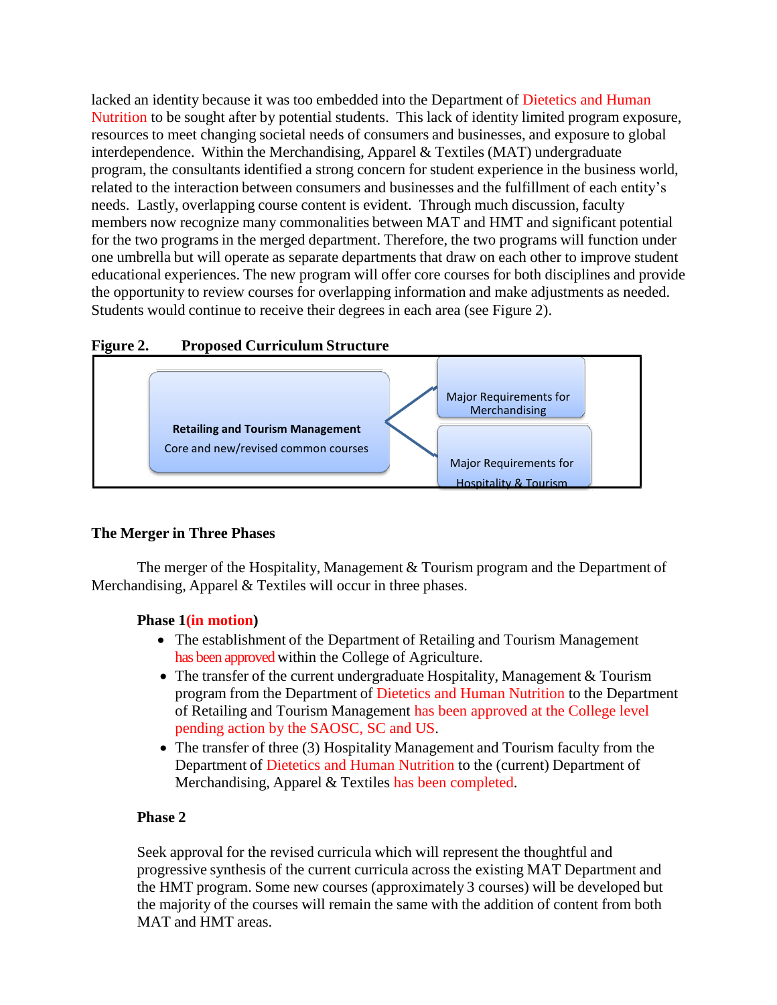lacked an identity because it was too embedded into the Department of Dietetics and Human Nutrition to be sought after by potential students. This lack of identity limited program exposure, resources to meet changing societal needs of consumers and businesses, and exposure to global interdependence. Within the Merchandising, Apparel & Textiles (MAT) undergraduate program, the consultants identified a strong concern for student experience in the business world, related to the interaction between consumers and businesses and the fulfillment of each entity's needs. Lastly, overlapping course content is evident. Through much discussion, faculty members now recognize many commonalities between MAT and HMT and significant potential for the two programs in the merged department. Therefore, the two programs will function under one umbrella but will operate as separate departments that draw on each other to improve student educational experiences. The new program will offer core courses for both disciplines and provide the opportunity to review courses for overlapping information and make adjustments as needed. Students would continue to receive their degrees in each area (see Figure 2).





### **The Merger in Three Phases**

The merger of the Hospitality, Management & Tourism program and the Department of Merchandising, Apparel & Textiles will occur in three phases.

### **Phase 1(in motion)**

- The establishment of the Department of Retailing and Tourism Management has been approved within the College of Agriculture.
- The transfer of the current undergraduate Hospitality, Management & Tourism program from the Department of Dietetics and Human Nutrition to the Department of Retailing and Tourism Management has been approved at the College level pending action by the SAOSC, SC and US.
- The transfer of three (3) Hospitality Management and Tourism faculty from the Department of Dietetics and Human Nutrition to the (current) Department of Merchandising, Apparel & Textiles has been completed.

### **Phase 2**

Seek approval for the revised curricula which will represent the thoughtful and progressive synthesis of the current curricula across the existing MAT Department and the HMT program. Some new courses (approximately 3 courses) will be developed but the majority of the courses will remain the same with the addition of content from both MAT and HMT areas.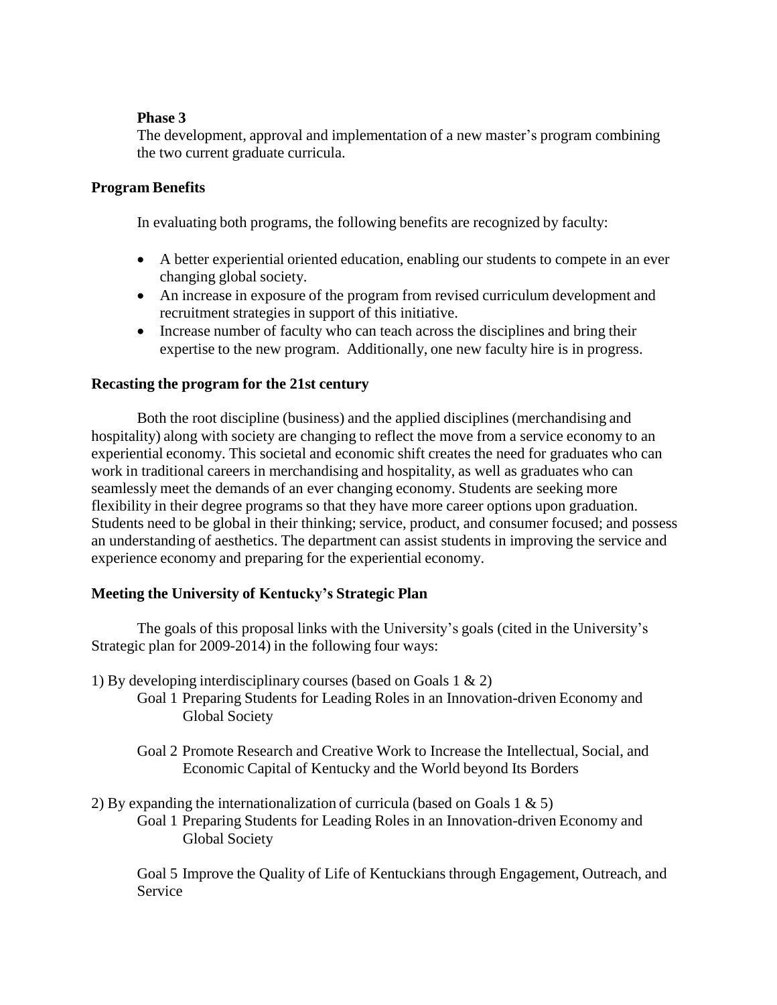### **Phase 3**

The development, approval and implementation of a new master's program combining the two current graduate curricula.

### **Program Benefits**

In evaluating both programs, the following benefits are recognized by faculty:

- A better experiential oriented education, enabling our students to compete in an ever changing global society.
- An increase in exposure of the program from revised curriculum development and recruitment strategies in support of this initiative.
- Increase number of faculty who can teach across the disciplines and bring their expertise to the new program. Additionally, one new faculty hire is in progress.

### **Recasting the program for the 21st century**

Both the root discipline (business) and the applied disciplines (merchandising and hospitality) along with society are changing to reflect the move from a service economy to an experiential economy. This societal and economic shift creates the need for graduates who can work in traditional careers in merchandising and hospitality, as well as graduates who can seamlessly meet the demands of an ever changing economy. Students are seeking more flexibility in their degree programs so that they have more career options upon graduation. Students need to be global in their thinking; service, product, and consumer focused; and possess an understanding of aesthetics. The department can assist students in improving the service and experience economy and preparing for the experiential economy.

### **Meeting the University of Kentucky's Strategic Plan**

The goals of this proposal links with the University's goals (cited in the University's Strategic plan for 2009-2014) in the following four ways:

- 1) By developing interdisciplinary courses (based on Goals 1 & 2)
	- Goal 1 Preparing Students for Leading Roles in an Innovation-driven Economy and Global Society
		- Goal 2 Promote Research and Creative Work to Increase the Intellectual, Social, and Economic Capital of Kentucky and the World beyond Its Borders

2) By expanding the internationalization of curricula (based on Goals 1  $\&$  5)

Goal 1 Preparing Students for Leading Roles in an Innovation-driven Economy and Global Society

Goal 5 Improve the Quality of Life of Kentuckians through Engagement, Outreach, and Service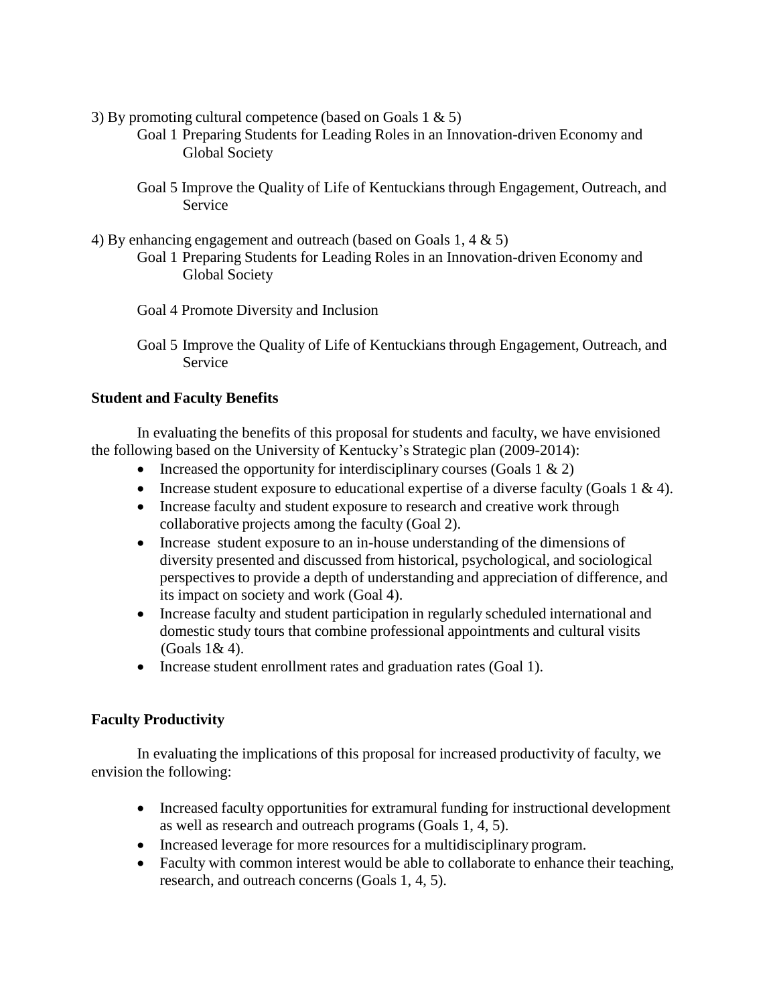- 3) By promoting cultural competence (based on Goals  $1 \& 5$ )
	- Goal 1 Preparing Students for Leading Roles in an Innovation-driven Economy and Global Society
	- Goal 5 Improve the Quality of Life of Kentuckians through Engagement, Outreach, and Service
- 4) By enhancing engagement and outreach (based on Goals 1, 4 & 5)
	- Goal 1 Preparing Students for Leading Roles in an Innovation-driven Economy and Global Society
	- Goal 4 Promote Diversity and Inclusion
	- Goal 5 Improve the Quality of Life of Kentuckians through Engagement, Outreach, and Service

### **Student and Faculty Benefits**

In evaluating the benefits of this proposal for students and faculty, we have envisioned the following based on the University of Kentucky's Strategic plan (2009-2014):

- Increased the opportunity for interdisciplinary courses (Goals  $1 \& 2$ )
- Increase student exposure to educational expertise of a diverse faculty (Goals  $1 \& 4$ ).
- Increase faculty and student exposure to research and creative work through collaborative projects among the faculty (Goal 2).
- Increase student exposure to an in-house understanding of the dimensions of diversity presented and discussed from historical, psychological, and sociological perspectives to provide a depth of understanding and appreciation of difference, and its impact on society and work (Goal 4).
- Increase faculty and student participation in regularly scheduled international and domestic study tours that combine professional appointments and cultural visits (Goals 1& 4).
- Increase student enrollment rates and graduation rates (Goal 1).

#### **Faculty Productivity**

In evaluating the implications of this proposal for increased productivity of faculty, we envision the following:

- Increased faculty opportunities for extramural funding for instructional development as well as research and outreach programs (Goals 1, 4, 5).
- Increased leverage for more resources for a multidisciplinary program.
- Faculty with common interest would be able to collaborate to enhance their teaching, research, and outreach concerns (Goals 1, 4, 5).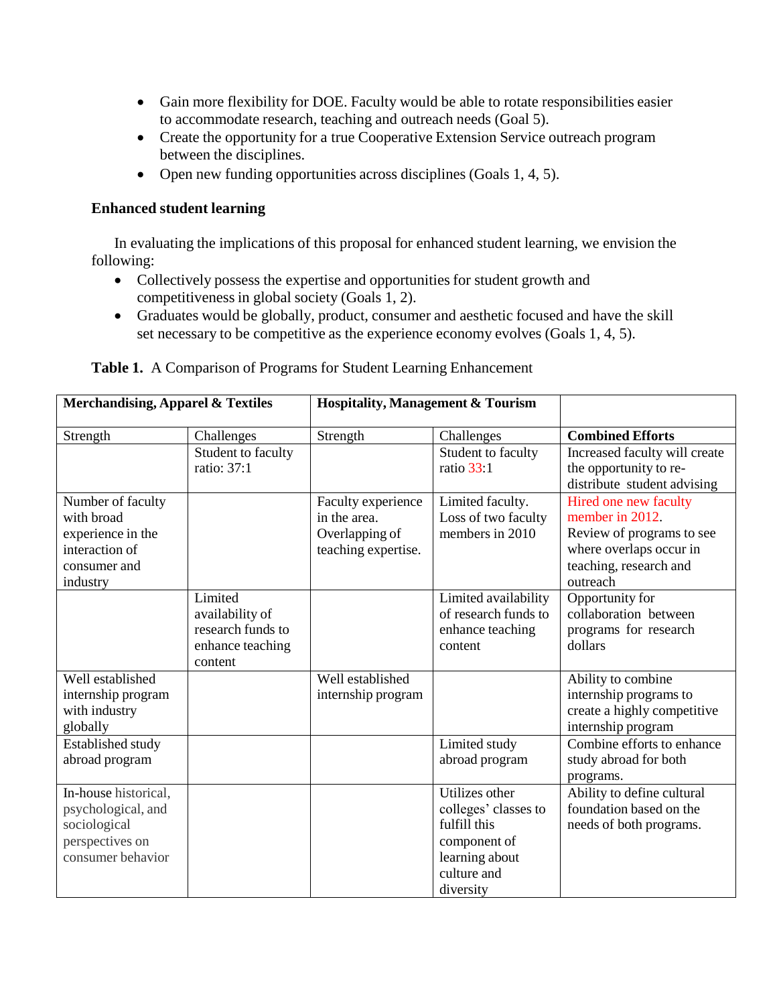- Gain more flexibility for DOE. Faculty would be able to rotate responsibilities easier to accommodate research, teaching and outreach needs (Goal 5).
- Create the opportunity for a true Cooperative Extension Service outreach program between the disciplines.
- Open new funding opportunities across disciplines (Goals 1, 4, 5).

## **Enhanced student learning**

In evaluating the implications of this proposal for enhanced student learning, we envision the following:

- Collectively possess the expertise and opportunities for student growth and competitivenessin global society (Goals 1, 2).
- Graduates would be globally, product, consumer and aesthetic focused and have the skill set necessary to be competitive as the experience economy evolves (Goals 1, 4, 5).

| <b>Merchandising, Apparel &amp; Textiles</b> |                    | <b>Hospitality, Management &amp; Tourism</b> |                                      |                                                       |
|----------------------------------------------|--------------------|----------------------------------------------|--------------------------------------|-------------------------------------------------------|
| Strength                                     | Challenges         | Strength                                     | Challenges                           | <b>Combined Efforts</b>                               |
|                                              | Student to faculty |                                              | Student to faculty                   | Increased faculty will create                         |
|                                              | ratio: 37:1        |                                              | ratio $33:1$                         | the opportunity to re-                                |
|                                              |                    |                                              |                                      | distribute student advising                           |
| Number of faculty                            |                    | Faculty experience                           | Limited faculty.                     | Hired one new faculty                                 |
| with broad                                   |                    | in the area.                                 | Loss of two faculty                  | member in 2012.                                       |
| experience in the                            |                    | Overlapping of                               | members in 2010                      | Review of programs to see                             |
| interaction of                               |                    | teaching expertise.                          |                                      | where overlaps occur in                               |
| consumer and                                 |                    |                                              |                                      | teaching, research and                                |
| industry                                     |                    |                                              |                                      | outreach                                              |
|                                              | Limited            |                                              | Limited availability                 | Opportunity for                                       |
|                                              | availability of    |                                              | of research funds to                 | collaboration between                                 |
|                                              | research funds to  |                                              | enhance teaching                     | programs for research                                 |
|                                              | enhance teaching   |                                              | content                              | dollars                                               |
|                                              | content            |                                              |                                      |                                                       |
| Well established                             |                    | Well established                             |                                      | Ability to combine                                    |
| internship program                           |                    | internship program                           |                                      | internship programs to                                |
| with industry                                |                    |                                              |                                      | create a highly competitive                           |
| globally                                     |                    |                                              |                                      | internship program<br>Combine efforts to enhance      |
| Established study                            |                    |                                              | Limited study                        |                                                       |
| abroad program                               |                    |                                              | abroad program                       | study abroad for both                                 |
| In-house historical,                         |                    |                                              | Utilizes other                       | programs.                                             |
|                                              |                    |                                              |                                      | Ability to define cultural<br>foundation based on the |
| psychological, and                           |                    |                                              | colleges' classes to<br>fulfill this | needs of both programs.                               |
| sociological                                 |                    |                                              |                                      |                                                       |
| perspectives on<br>consumer behavior         |                    |                                              | component of<br>learning about       |                                                       |
|                                              |                    |                                              | culture and                          |                                                       |
|                                              |                    |                                              |                                      |                                                       |
|                                              |                    |                                              | diversity                            |                                                       |

#### **Table 1.** A Comparison of Programs for Student Learning Enhancement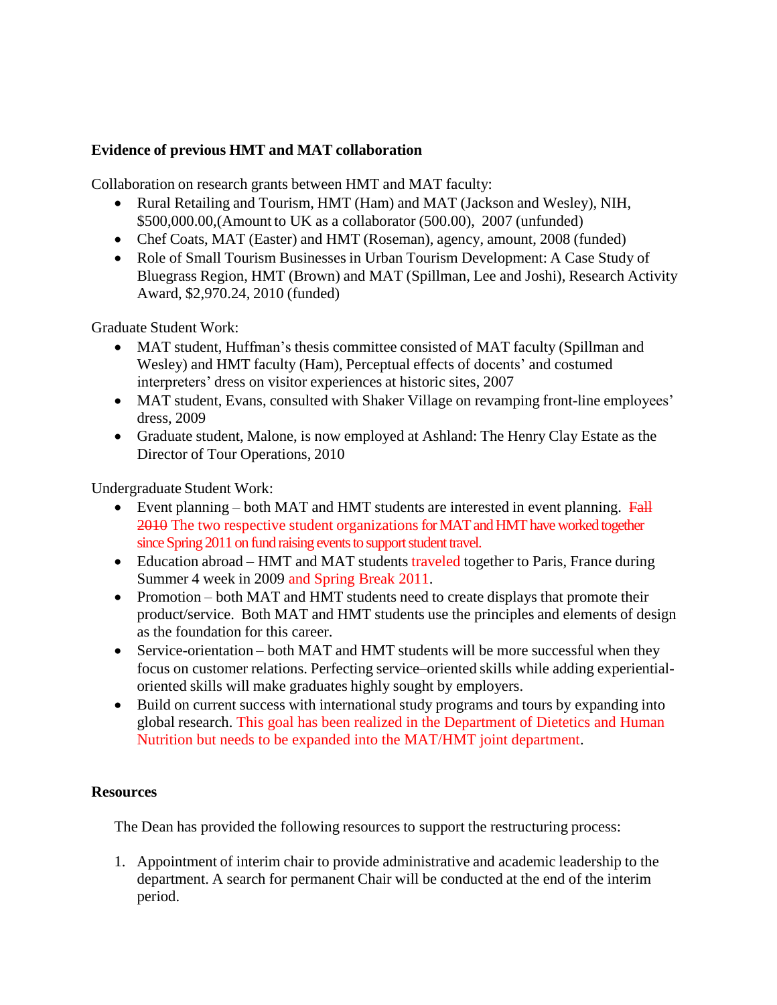## **Evidence of previous HMT and MAT collaboration**

Collaboration on research grants between HMT and MAT faculty:

- Rural Retailing and Tourism, HMT (Ham) and MAT (Jackson and Wesley), NIH, \$500,000.00,(Amount to UK as a collaborator (500.00), 2007 (unfunded)
- Chef Coats, MAT (Easter) and HMT (Roseman), agency, amount, 2008 (funded)
- Role of Small Tourism Businesses in Urban Tourism Development: A Case Study of Bluegrass Region, HMT (Brown) and MAT (Spillman, Lee and Joshi), Research Activity Award, \$2,970.24, 2010 (funded)

Graduate Student Work:

- MAT student, Huffman's thesis committee consisted of MAT faculty (Spillman and Wesley) and HMT faculty (Ham), Perceptual effects of docents' and costumed interpreters' dress on visitor experiences at historic sites, 2007
- MAT student, Evans, consulted with Shaker Village on revamping front-line employees' dress, 2009
- Graduate student, Malone, is now employed at Ashland: The Henry Clay Estate as the Director of Tour Operations, 2010

Undergraduate Student Work:

- Event planning both MAT and HMT students are interested in event planning.  $Fall$ 2010 The two respective student organizations for MAT and HMT have worked together since Spring 2011 on fund raising events to support student travel.
- Education abroad HMT and MAT students traveled together to Paris, France during Summer 4 week in 2009 and Spring Break 2011.
- Promotion both MAT and HMT students need to create displays that promote their product/service. Both MAT and HMT students use the principles and elements of design as the foundation for this career.
- Service-orientation both MAT and HMT students will be more successful when they focus on customer relations. Perfecting service–oriented skills while adding experientialoriented skills will make graduates highly sought by employers.
- Build on current success with international study programs and tours by expanding into global research. This goal has been realized in the Department of Dietetics and Human Nutrition but needs to be expanded into the MAT/HMT joint department.

### **Resources**

The Dean has provided the following resources to support the restructuring process:

1. Appointment of interim chair to provide administrative and academic leadership to the department. A search for permanent Chair will be conducted at the end of the interim period.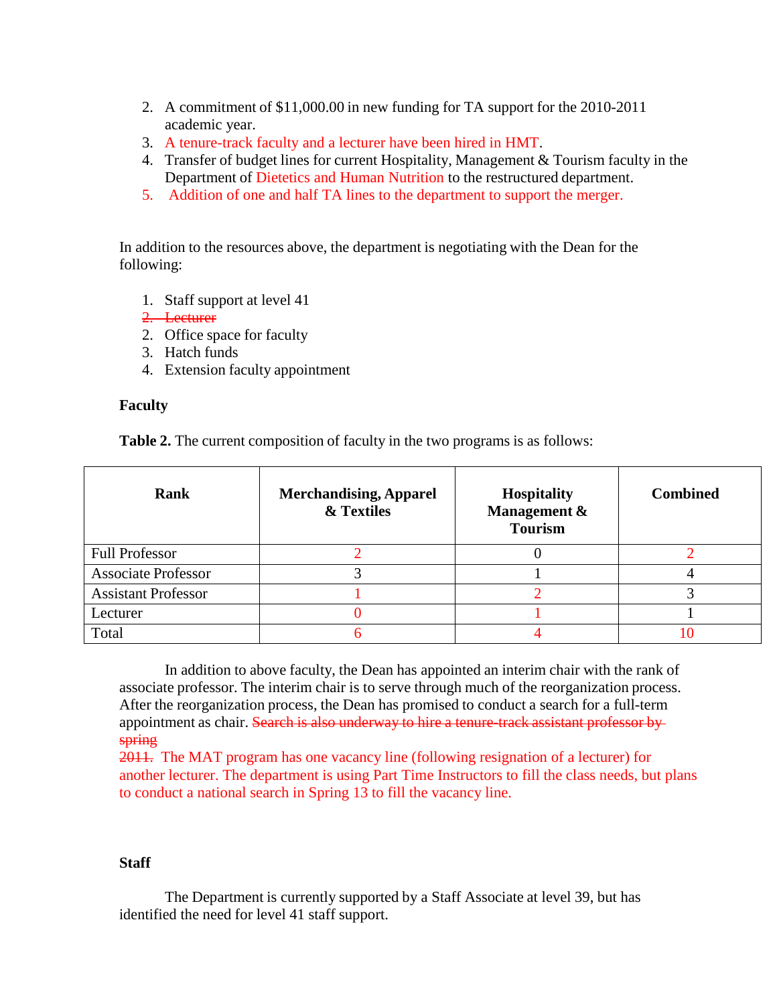- 2. A commitment of \$11,000.00 in new funding for TA support for the 2010-2011 academic year.
- 3. A tenure-track faculty and a lecturer have been hired in HMT.
- 4. Transfer of budget lines for current Hospitality, Management & Tourism faculty in the Department of Dietetics and Human Nutrition to the restructured department.
- 5. Addition of one and half TA lines to the department to support the merger.

In addition to the resources above, the department is negotiating with the Dean for the following:

- 1. Staff support at level 41
- 2. Lecturer
- 2. Office space for faculty
- 3. Hatch funds
- 4. Extension faculty appointment

#### **Faculty**

**Table 2.** The current composition of faculty in the two programs is as follows:

| Rank                       | <b>Merchandising, Apparel</b><br>& Textiles | <b>Hospitality</b><br>Management &<br><b>Tourism</b> | <b>Combined</b> |
|----------------------------|---------------------------------------------|------------------------------------------------------|-----------------|
| <b>Full Professor</b>      |                                             |                                                      |                 |
| <b>Associate Professor</b> |                                             |                                                      |                 |
| <b>Assistant Professor</b> |                                             |                                                      |                 |
| Lecturer                   |                                             |                                                      |                 |
| Total                      |                                             |                                                      |                 |

00

In addition to above faculty, the Dean has appointed an interim chair with the rank of associate professor. The interim chair is to serve through much of the reorganization process. After the reorganization process, the Dean has promised to conduct a search for a full-term appointment as chair. Search is also underway to hire a tenure-track assistant professor by spring

2011. The MAT program has one vacancy line (following resignation of a lecturer) for another lecturer. The department is using Part Time Instructors to fill the class needs, but plans to conduct a national search in Spring 13 to fill the vacancy line.

#### **Staff**

The Department is currently supported by a Staff Associate at level 39, but has identified the need for level 41 staff support.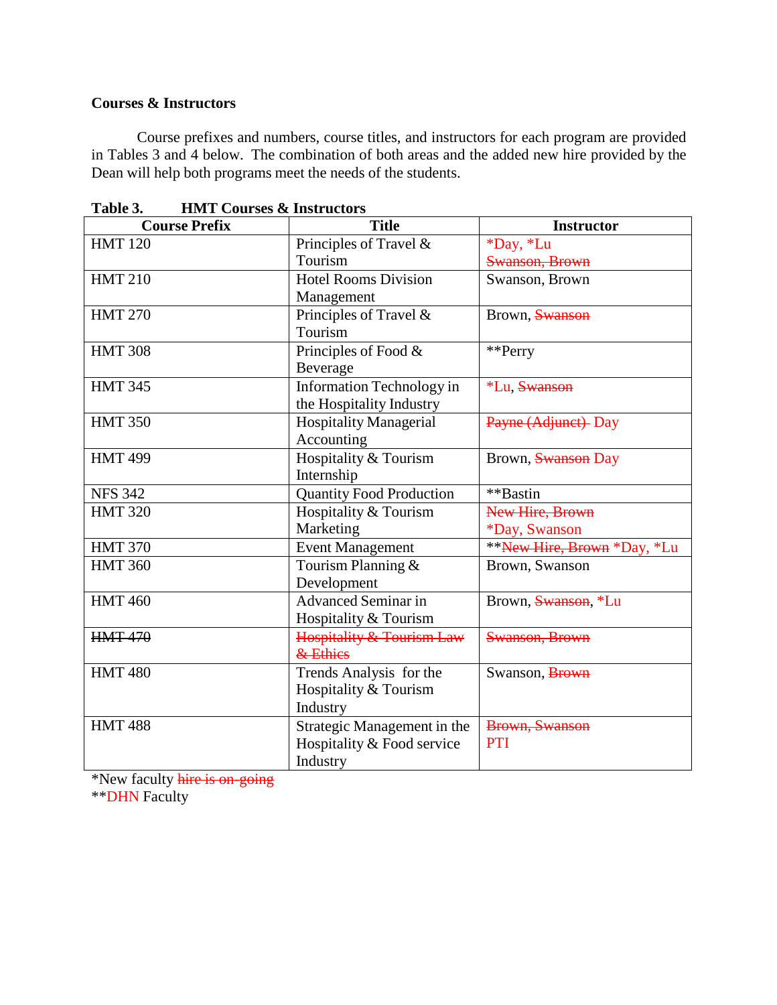#### **Courses & Instructors**

Course prefixes and numbers, course titles, and instructors for each program are provided in Tables 3 and 4 below. The combination of both areas and the added new hire provided by the Dean will help both programs meet the needs of the students.

| <b>Course Prefix</b> | <b>Title</b>                    | <b>Instructor</b>           |
|----------------------|---------------------------------|-----------------------------|
| <b>HMT 120</b>       | Principles of Travel &          | *Day, *Lu                   |
|                      | Tourism                         | Swanson, Brown              |
| <b>HMT 210</b>       | <b>Hotel Rooms Division</b>     | Swanson, Brown              |
|                      | Management                      |                             |
| <b>HMT 270</b>       | Principles of Travel &          | Brown, Swanson              |
|                      | Tourism                         |                             |
| <b>HMT 308</b>       | Principles of Food &            | **Perry                     |
|                      | Beverage                        |                             |
| <b>HMT 345</b>       | Information Technology in       | *Lu, Swanson                |
|                      | the Hospitality Industry        |                             |
| <b>HMT 350</b>       | <b>Hospitality Managerial</b>   | Payne (Adjunct) Day         |
|                      | Accounting                      |                             |
| <b>HMT 499</b>       | Hospitality & Tourism           | Brown, Swanson Day          |
|                      | Internship                      |                             |
| <b>NFS 342</b>       | <b>Quantity Food Production</b> | **Bastin                    |
| <b>HMT 320</b>       | Hospitality & Tourism           | New Hire, Brown             |
|                      | Marketing                       | *Day, Swanson               |
| <b>HMT 370</b>       | <b>Event Management</b>         | **New Hire, Brown *Day, *Lu |
| <b>HMT 360</b>       | Tourism Planning &              | Brown, Swanson              |
|                      | Development                     |                             |
| <b>HMT460</b>        | <b>Advanced Seminar in</b>      | Brown, Swanson, *Lu         |
|                      | Hospitality & Tourism           |                             |
| <b>HMT 470</b>       | Hospitality & Tourism Law       | Swanson, Brown              |
|                      | & Ethics                        |                             |
| <b>HMT480</b>        | Trends Analysis for the         | Swanson, Brown              |
|                      | Hospitality & Tourism           |                             |
|                      | Industry                        |                             |
| <b>HMT488</b>        | Strategic Management in the     | Brown, Swanson              |
|                      | Hospitality & Food service      | <b>PTI</b>                  |
|                      | Industry                        |                             |

**Table 3. HMT Courses & Instructors**

\*New faculty hire is on-going

\*\*DHN Faculty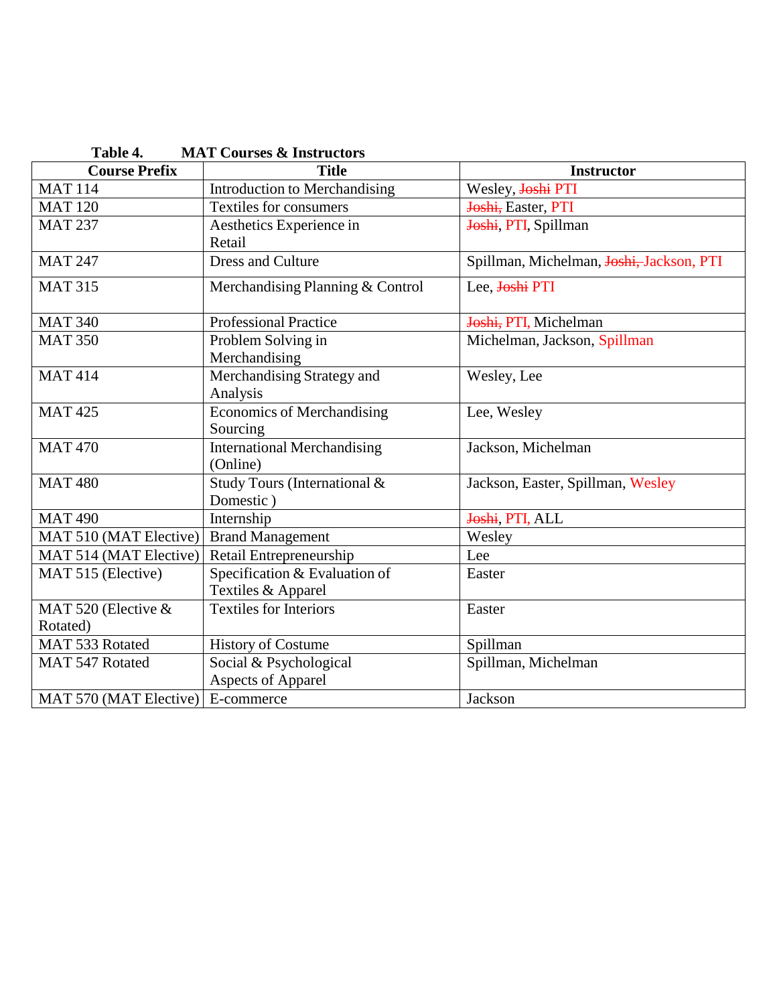| <b>MAT Courses &amp; Instructors</b><br>Table 4. |                                                     |                                          |  |
|--------------------------------------------------|-----------------------------------------------------|------------------------------------------|--|
| <b>Course Prefix</b>                             | <b>Title</b>                                        | <b>Instructor</b>                        |  |
| <b>MAT 114</b>                                   | <b>Introduction to Merchandising</b>                | Wesley, Joshi PTI                        |  |
| <b>MAT 120</b>                                   | <b>Textiles for consumers</b>                       | Joshi, Easter, PTI                       |  |
| <b>MAT 237</b>                                   | Aesthetics Experience in<br>Retail                  | Joshi, PTI, Spillman                     |  |
| <b>MAT 247</b>                                   | <b>Dress and Culture</b>                            | Spillman, Michelman, Joshi, Jackson, PTI |  |
| <b>MAT 315</b>                                   | Merchandising Planning & Control                    | Lee, Joshi PTI                           |  |
| <b>MAT 340</b>                                   | <b>Professional Practice</b>                        | Joshi, PTI, Michelman                    |  |
| <b>MAT 350</b>                                   | Problem Solving in<br>Merchandising                 | Michelman, Jackson, Spillman             |  |
| <b>MAT414</b>                                    | Merchandising Strategy and<br>Analysis              | Wesley, Lee                              |  |
| <b>MAT425</b>                                    | <b>Economics of Merchandising</b><br>Sourcing       | Lee, Wesley                              |  |
| <b>MAT470</b>                                    | <b>International Merchandising</b><br>(Online)      | Jackson, Michelman                       |  |
| <b>MAT480</b>                                    | Study Tours (International &<br>Domestic)           | Jackson, Easter, Spillman, Wesley        |  |
| <b>MAT 490</b>                                   | Internship                                          | Joshi, PTI, ALL                          |  |
| MAT 510 (MAT Elective)                           | <b>Brand Management</b>                             | Wesley                                   |  |
| MAT 514 (MAT Elective)                           | Retail Entrepreneurship                             | Lee                                      |  |
| MAT 515 (Elective)                               | Specification & Evaluation of<br>Textiles & Apparel | Easter                                   |  |
| MAT 520 (Elective &<br>Rotated)                  | <b>Textiles for Interiors</b>                       | Easter                                   |  |
| MAT 533 Rotated                                  | <b>History of Costume</b>                           | Spillman                                 |  |
| MAT 547 Rotated                                  | Social & Psychological<br><b>Aspects of Apparel</b> | Spillman, Michelman                      |  |
| MAT 570 (MAT Elective)                           | E-commerce                                          | Jackson                                  |  |